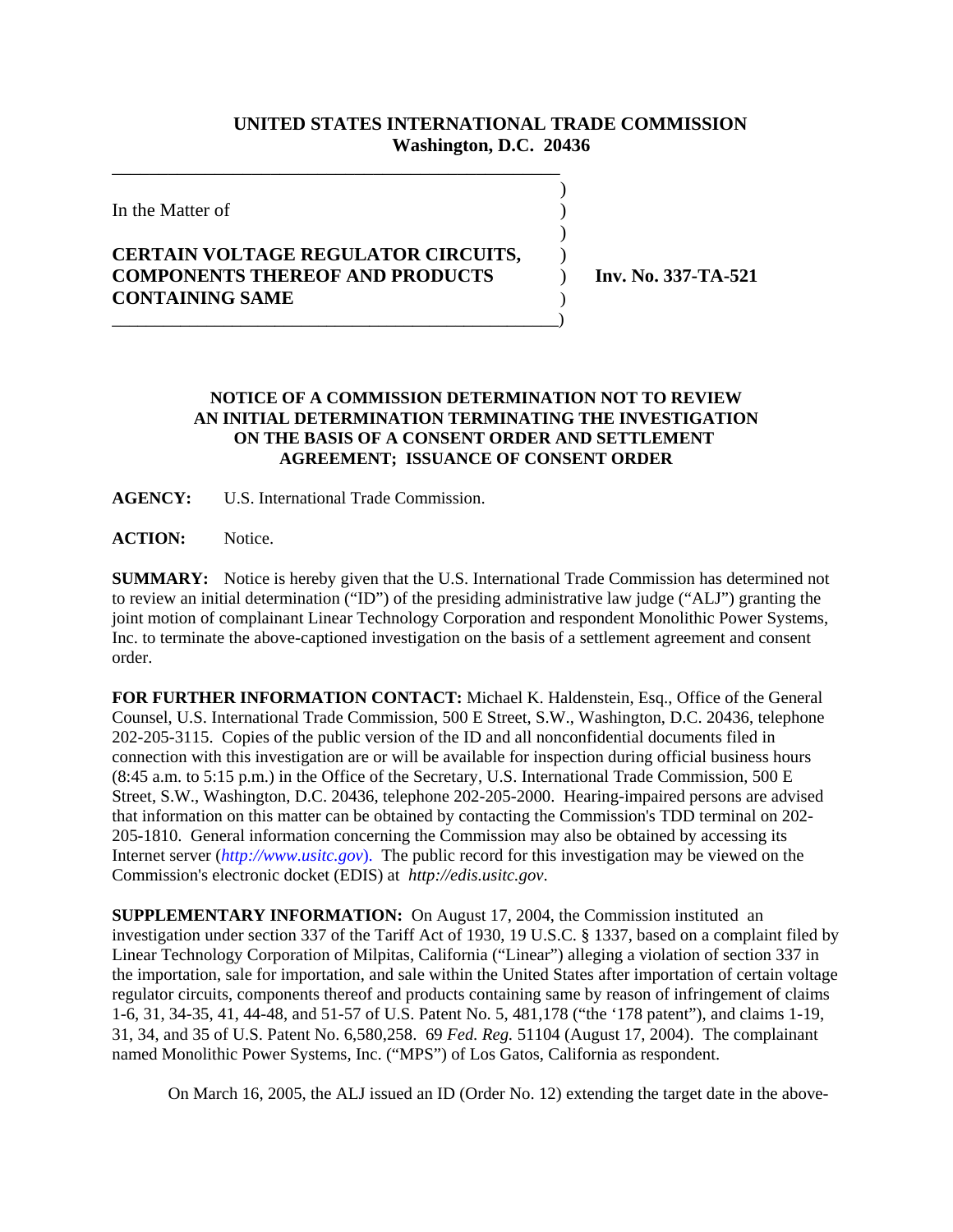## **UNITED STATES INTERNATIONAL TRADE COMMISSION Washington, D.C. 20436**

)

)

In the Matter of  $\hspace{1.5cm}$  )

## **CERTAIN VOLTAGE REGULATOR CIRCUITS,** ) **COMPONENTS THEREOF AND PRODUCTS** ) **Inv. No. 337-TA-521 CONTAINING SAME** ) \_\_\_\_\_\_\_\_\_\_\_\_\_\_\_\_\_\_\_\_\_\_\_\_\_\_\_\_\_\_\_\_\_\_\_\_\_\_\_\_\_\_\_\_\_\_\_\_\_\_\_\_)

\_\_\_\_\_\_\_\_\_\_\_\_\_\_\_\_\_\_\_\_\_\_\_\_\_\_\_\_\_\_\_\_\_\_\_\_\_\_\_\_\_\_\_\_\_\_\_\_

## **NOTICE OF A COMMISSION DETERMINATION NOT TO REVIEW AN INITIAL DETERMINATION TERMINATING THE INVESTIGATION ON THE BASIS OF A CONSENT ORDER AND SETTLEMENT AGREEMENT; ISSUANCE OF CONSENT ORDER**

**AGENCY:** U.S. International Trade Commission.

**ACTION:** Notice.

**SUMMARY:** Notice is hereby given that the U.S. International Trade Commission has determined not to review an initial determination ("ID") of the presiding administrative law judge ("ALJ") granting the joint motion of complainant Linear Technology Corporation and respondent Monolithic Power Systems, Inc. to terminate the above-captioned investigation on the basis of a settlement agreement and consent order.

**FOR FURTHER INFORMATION CONTACT:** Michael K. Haldenstein, Esq., Office of the General Counsel, U.S. International Trade Commission, 500 E Street, S.W., Washington, D.C. 20436, telephone 202-205-3115. Copies of the public version of the ID and all nonconfidential documents filed in connection with this investigation are or will be available for inspection during official business hours (8:45 a.m. to 5:15 p.m.) in the Office of the Secretary, U.S. International Trade Commission, 500 E Street, S.W., Washington, D.C. 20436, telephone 202-205-2000. Hearing-impaired persons are advised that information on this matter can be obtained by contacting the Commission's TDD terminal on 202- 205-1810. General information concerning the Commission may also be obtained by accessing its Internet server (*http://www.usitc.gov*). The public record for this investigation may be viewed on the Commission's electronic docket (EDIS) at *http://edis.usitc.gov*.

**SUPPLEMENTARY INFORMATION:** On August 17, 2004, the Commission instituted an investigation under section 337 of the Tariff Act of 1930, 19 U.S.C. § 1337, based on a complaint filed by Linear Technology Corporation of Milpitas, California ("Linear") alleging a violation of section 337 in the importation, sale for importation, and sale within the United States after importation of certain voltage regulator circuits, components thereof and products containing same by reason of infringement of claims 1-6, 31, 34-35, 41, 44-48, and 51-57 of U.S. Patent No. 5, 481,178 ("the '178 patent"), and claims 1-19, 31, 34, and 35 of U.S. Patent No. 6,580,258. 69 *Fed. Reg.* 51104 (August 17, 2004). The complainant named Monolithic Power Systems, Inc. ("MPS") of Los Gatos, California as respondent.

On March 16, 2005, the ALJ issued an ID (Order No. 12) extending the target date in the above-